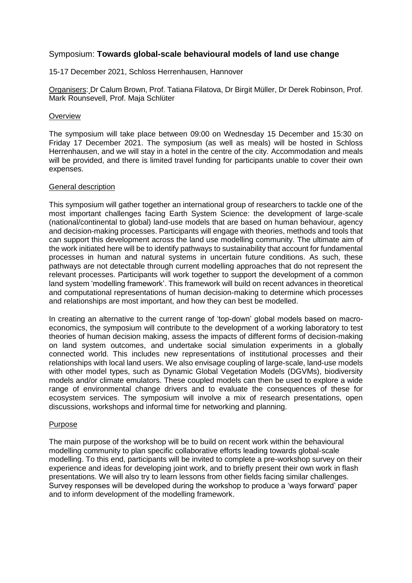# Symposium: **Towards global-scale behavioural models of land use change**

15-17 December 2021, Schloss Herrenhausen, Hannover

Organisers: Dr Calum Brown, Prof. Tatiana Filatova, Dr Birgit Müller, Dr Derek Robinson, Prof. Mark Rounsevell, Prof. Maja Schlüter

### **Overview**

The symposium will take place between 09:00 on Wednesday 15 December and 15:30 on Friday 17 December 2021. The symposium (as well as meals) will be hosted in Schloss Herrenhausen, and we will stay in a hotel in the centre of the city. Accommodation and meals will be provided, and there is limited travel funding for participants unable to cover their own expenses.

## General description

This symposium will gather together an international group of researchers to tackle one of the most important challenges facing Earth System Science: the development of large-scale (national/continental to global) land-use models that are based on human behaviour, agency and decision-making processes. Participants will engage with theories, methods and tools that can support this development across the land use modelling community. The ultimate aim of the work initiated here will be to identify pathways to sustainability that account for fundamental processes in human and natural systems in uncertain future conditions. As such, these pathways are not detectable through current modelling approaches that do not represent the relevant processes. Participants will work together to support the development of a common land system 'modelling framework'. This framework will build on recent advances in theoretical and computational representations of human decision-making to determine which processes and relationships are most important, and how they can best be modelled.

In creating an alternative to the current range of 'top-down' global models based on macroeconomics, the symposium will contribute to the development of a working laboratory to test theories of human decision making, assess the impacts of different forms of decision-making on land system outcomes, and undertake social simulation experiments in a globally connected world. This includes new representations of institutional processes and their relationships with local land users. We also envisage coupling of large-scale, land-use models with other model types, such as Dynamic Global Vegetation Models (DGVMs), biodiversity models and/or climate emulators. These coupled models can then be used to explore a wide range of environmental change drivers and to evaluate the consequences of these for ecosystem services. The symposium will involve a mix of research presentations, open discussions, workshops and informal time for networking and planning.

#### Purpose

The main purpose of the workshop will be to build on recent work within the behavioural modelling community to plan specific collaborative efforts leading towards global-scale modelling. To this end, participants will be invited to complete a pre-workshop survey on their experience and ideas for developing joint work, and to briefly present their own work in flash presentations. We will also try to learn lessons from other fields facing similar challenges. Survey responses will be developed during the workshop to produce a 'ways forward' paper and to inform development of the modelling framework.